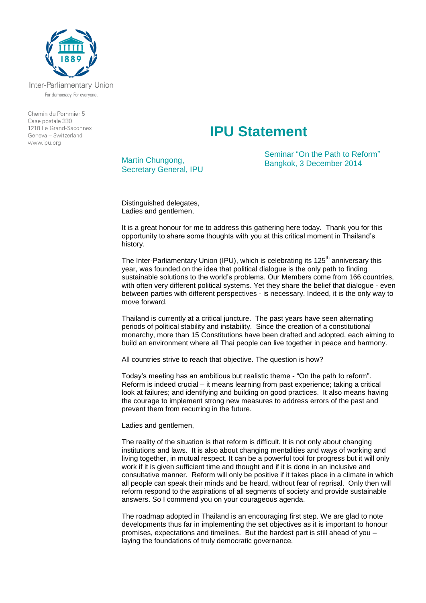

Inter-Parliamentary Union For democracy. For everyone.

Chemin du Pommier 5 Case postale 330  $1218$   $\leq$  Grand-Saconney Geneva - Switzerland www.ipu.org

## **IPU Statement**

Martin Chungong, Secretary General, IPU Seminar "On the Path to Reform" Bangkok, 3 December 2014

Distinguished delegates, Ladies and gentlemen,

It is a great honour for me to address this gathering here today. Thank you for this opportunity to share some thoughts with you at this critical moment in Thailand's history.

The Inter-Parliamentary Union (IPU), which is celebrating its  $125<sup>th</sup>$  anniversary this year, was founded on the idea that political dialogue is the only path to finding sustainable solutions to the world's problems. Our Members come from 166 countries, with often very different political systems. Yet they share the belief that dialogue - even between parties with different perspectives - is necessary. Indeed, it is the only way to move forward.

Thailand is currently at a critical juncture. The past years have seen alternating periods of political stability and instability. Since the creation of a constitutional monarchy, more than 15 Constitutions have been drafted and adopted, each aiming to build an environment where all Thai people can live together in peace and harmony.

All countries strive to reach that objective. The question is how?

Today's meeting has an ambitious but realistic theme - "On the path to reform". Reform is indeed crucial – it means learning from past experience; taking a critical look at failures; and identifying and building on good practices. It also means having the courage to implement strong new measures to address errors of the past and prevent them from recurring in the future.

Ladies and gentlemen,

The reality of the situation is that reform is difficult. It is not only about changing institutions and laws. It is also about changing mentalities and ways of working and living together, in mutual respect. It can be a powerful tool for progress but it will only work if it is given sufficient time and thought and if it is done in an inclusive and consultative manner. Reform will only be positive if it takes place in a climate in which all people can speak their minds and be heard, without fear of reprisal. Only then will reform respond to the aspirations of all segments of society and provide sustainable answers. So I commend you on your courageous agenda.

The roadmap adopted in Thailand is an encouraging first step. We are glad to note developments thus far in implementing the set objectives as it is important to honour promises, expectations and timelines. But the hardest part is still ahead of you – laying the foundations of truly democratic governance.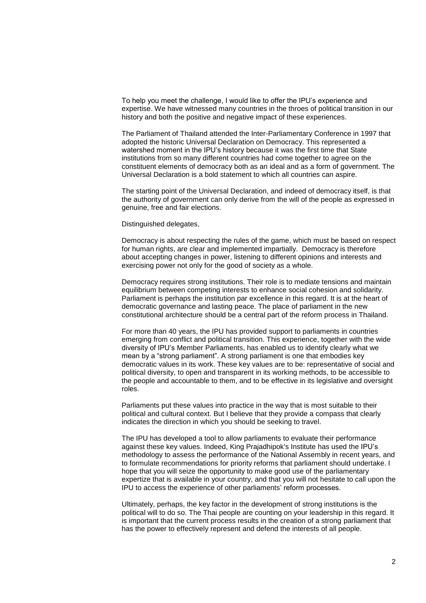To help you meet the challenge, I would like to offer the IPU's experience and expertise. We have witnessed many countries in the throes of political transition in our history and both the positive and negative impact of these experiences.

The Parliament of Thailand attended the Inter-Parliamentary Conference in 1997 that adopted the historic Universal Declaration on Democracy. This represented a watershed moment in the IPU's history because it was the first time that State institutions from so many different countries had come together to agree on the constituent elements of democracy both as an ideal and as a form of government. The Universal Declaration is a bold statement to which all countries can aspire.

The starting point of the Universal Declaration, and indeed of democracy itself, is that the authority of government can only derive from the will of the people as expressed in genuine, free and fair elections.

Distinguished delegates,

Democracy is about respecting the rules of the game, which must be based on respect for human rights, are clear and implemented impartially. Democracy is therefore about accepting changes in power, listening to different opinions and interests and exercising power not only for the good of society as a whole.

Democracy requires strong institutions. Their role is to mediate tensions and maintain equilibrium between competing interests to enhance social cohesion and solidarity. Parliament is perhaps the institution par excellence in this regard. It is at the heart of democratic governance and lasting peace. The place of parliament in the new constitutional architecture should be a central part of the reform process in Thailand.

For more than 40 years, the IPU has provided support to parliaments in countries emerging from conflict and political transition. This experience, together with the wide diversity of IPU's Member Parliaments, has enabled us to identify clearly what we mean by a "strong parliament". A strong parliament is one that embodies key democratic values in its work. These key values are to be: representative of social and political diversity, to open and transparent in its working methods, to be accessible to the people and accountable to them, and to be effective in its legislative and oversight roles.

Parliaments put these values into practice in the way that is most suitable to their political and cultural context. But I believe that they provide a compass that clearly indicates the direction in which you should be seeking to travel.

The IPU has developed a tool to allow parliaments to evaluate their performance against these key values. Indeed, King Prajadhipok's Institute has used the IPU's methodology to assess the performance of the National Assembly in recent years, and to formulate recommendations for priority reforms that parliament should undertake. I hope that you will seize the opportunity to make good use of the parliamentary expertize that is available in your country, and that you will not hesitate to call upon the IPU to access the experience of other parliaments' reform processes.

Ultimately, perhaps, the key factor in the development of strong institutions is the political will to do so. The Thai people are counting on your leadership in this regard. It is important that the current process results in the creation of a strong parliament that has the power to effectively represent and defend the interests of all people.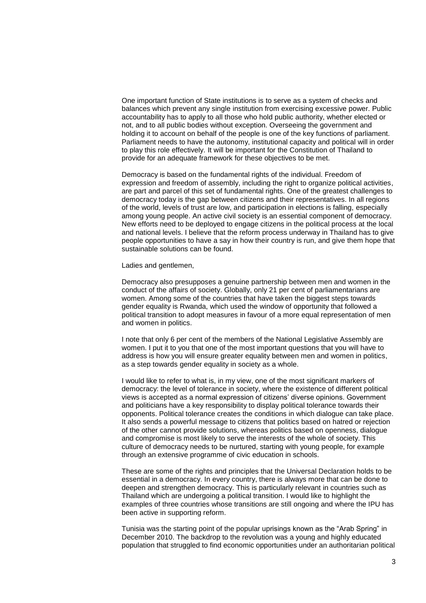One important function of State institutions is to serve as a system of checks and balances which prevent any single institution from exercising excessive power. Public accountability has to apply to all those who hold public authority, whether elected or not, and to all public bodies without exception. Overseeing the government and holding it to account on behalf of the people is one of the key functions of parliament. Parliament needs to have the autonomy, institutional capacity and political will in order to play this role effectively. It will be important for the Constitution of Thailand to provide for an adequate framework for these objectives to be met.

Democracy is based on the fundamental rights of the individual. Freedom of expression and freedom of assembly, including the right to organize political activities, are part and parcel of this set of fundamental rights. One of the greatest challenges to democracy today is the gap between citizens and their representatives. In all regions of the world, levels of trust are low, and participation in elections is falling, especially among young people. An active civil society is an essential component of democracy. New efforts need to be deployed to engage citizens in the political process at the local and national levels. I believe that the reform process underway in Thailand has to give people opportunities to have a say in how their country is run, and give them hope that sustainable solutions can be found.

Ladies and gentlemen,

Democracy also presupposes a genuine partnership between men and women in the conduct of the affairs of society. Globally, only 21 per cent of parliamentarians are women. Among some of the countries that have taken the biggest steps towards gender equality is Rwanda, which used the window of opportunity that followed a political transition to adopt measures in favour of a more equal representation of men and women in politics.

I note that only 6 per cent of the members of the National Legislative Assembly are women. I put it to you that one of the most important questions that you will have to address is how you will ensure greater equality between men and women in politics, as a step towards gender equality in society as a whole.

I would like to refer to what is, in my view, one of the most significant markers of democracy: the level of tolerance in society, where the existence of different political views is accepted as a normal expression of citizens' diverse opinions. Government and politicians have a key responsibility to display political tolerance towards their opponents. Political tolerance creates the conditions in which dialogue can take place. It also sends a powerful message to citizens that politics based on hatred or rejection of the other cannot provide solutions, whereas politics based on openness, dialogue and compromise is most likely to serve the interests of the whole of society. This culture of democracy needs to be nurtured, starting with young people, for example through an extensive programme of civic education in schools.

These are some of the rights and principles that the Universal Declaration holds to be essential in a democracy. In every country, there is always more that can be done to deepen and strengthen democracy. This is particularly relevant in countries such as Thailand which are undergoing a political transition. I would like to highlight the examples of three countries whose transitions are still ongoing and where the IPU has been active in supporting reform.

Tunisia was the starting point of the popular uprisings known as the "Arab Spring" in December 2010. The backdrop to the revolution was a young and highly educated population that struggled to find economic opportunities under an authoritarian political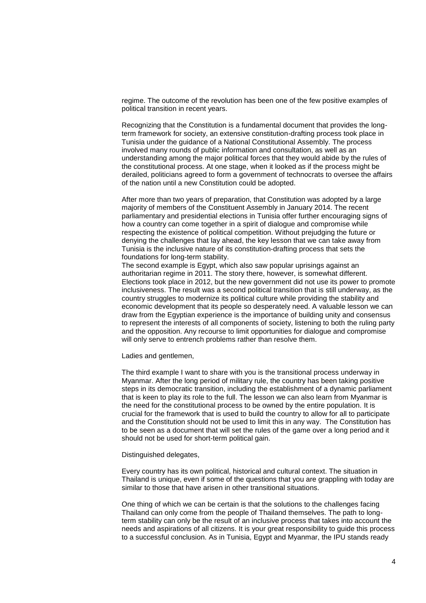regime. The outcome of the revolution has been one of the few positive examples of political transition in recent years.

Recognizing that the Constitution is a fundamental document that provides the longterm framework for society, an extensive constitution-drafting process took place in Tunisia under the guidance of a National Constitutional Assembly. The process involved many rounds of public information and consultation, as well as an understanding among the major political forces that they would abide by the rules of the constitutional process. At one stage, when it looked as if the process might be derailed, politicians agreed to form a government of technocrats to oversee the affairs of the nation until a new Constitution could be adopted.

After more than two years of preparation, that Constitution was adopted by a large majority of members of the Constituent Assembly in January 2014. The recent parliamentary and presidential elections in Tunisia offer further encouraging signs of how a country can come together in a spirit of dialogue and compromise while respecting the existence of political competition. Without prejudging the future or denying the challenges that lay ahead, the key lesson that we can take away from Tunisia is the inclusive nature of its constitution-drafting process that sets the foundations for long-term stability.

The second example is Egypt, which also saw popular uprisings against an authoritarian regime in 2011. The story there, however, is somewhat different. Elections took place in 2012, but the new government did not use its power to promote inclusiveness. The result was a second political transition that is still underway, as the country struggles to modernize its political culture while providing the stability and economic development that its people so desperately need. A valuable lesson we can draw from the Egyptian experience is the importance of building unity and consensus to represent the interests of all components of society, listening to both the ruling party and the opposition. Any recourse to limit opportunities for dialogue and compromise will only serve to entrench problems rather than resolve them.

Ladies and gentlemen,

The third example I want to share with you is the transitional process underway in Myanmar. After the long period of military rule, the country has been taking positive steps in its democratic transition, including the establishment of a dynamic parliament that is keen to play its role to the full. The lesson we can also learn from Myanmar is the need for the constitutional process to be owned by the entire population. It is crucial for the framework that is used to build the country to allow for all to participate and the Constitution should not be used to limit this in any way. The Constitution has to be seen as a document that will set the rules of the game over a long period and it should not be used for short-term political gain.

## Distinguished delegates,

Every country has its own political, historical and cultural context. The situation in Thailand is unique, even if some of the questions that you are grappling with today are similar to those that have arisen in other transitional situations.

One thing of which we can be certain is that the solutions to the challenges facing Thailand can only come from the people of Thailand themselves. The path to longterm stability can only be the result of an inclusive process that takes into account the needs and aspirations of all citizens. It is your great responsibility to guide this process to a successful conclusion. As in Tunisia, Egypt and Myanmar, the IPU stands ready